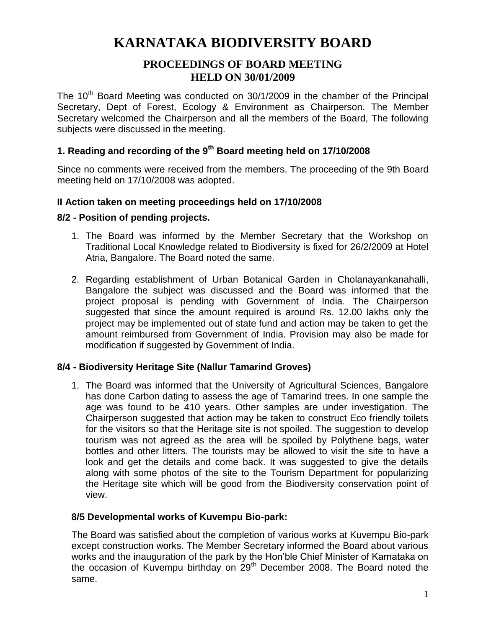# **KARNATAKA BIODIVERSITY BOARD**

## **PROCEEDINGS OF BOARD MEETING HELD ON 30/01/2009**

The 10<sup>th</sup> Board Meeting was conducted on 30/1/2009 in the chamber of the Principal Secretary, Dept of Forest, Ecology & Environment as Chairperson. The Member Secretary welcomed the Chairperson and all the members of the Board, The following subjects were discussed in the meeting.

## **1. Reading and recording of the 9th Board meeting held on 17/10/2008**

Since no comments were received from the members. The proceeding of the 9th Board meeting held on 17/10/2008 was adopted.

## **II Action taken on meeting proceedings held on 17/10/2008**

## **8/2 - Position of pending projects.**

- 1. The Board was informed by the Member Secretary that the Workshop on Traditional Local Knowledge related to Biodiversity is fixed for 26/2/2009 at Hotel Atria, Bangalore. The Board noted the same.
- 2. Regarding establishment of Urban Botanical Garden in Cholanayankanahalli, Bangalore the subject was discussed and the Board was informed that the project proposal is pending with Government of India. The Chairperson suggested that since the amount required is around Rs. 12.00 lakhs only the project may be implemented out of state fund and action may be taken to get the amount reimbursed from Government of India. Provision may also be made for modification if suggested by Government of India.

## **8/4 - Biodiversity Heritage Site (Nallur Tamarind Groves)**

1. The Board was informed that the University of Agricultural Sciences, Bangalore has done Carbon dating to assess the age of Tamarind trees. In one sample the age was found to be 410 years. Other samples are under investigation. The Chairperson suggested that action may be taken to construct Eco friendly toilets for the visitors so that the Heritage site is not spoiled. The suggestion to develop tourism was not agreed as the area will be spoiled by Polythene bags, water bottles and other litters. The tourists may be allowed to visit the site to have a look and get the details and come back. It was suggested to give the details along with some photos of the site to the Tourism Department for popularizing the Heritage site which will be good from the Biodiversity conservation point of view.

## **8/5 Developmental works of Kuvempu Bio-park:**

The Board was satisfied about the completion of various works at Kuvempu Bio-park except construction works. The Member Secretary informed the Board about various works and the inauguration of the park by the Hon'ble Chief Minister of Karnataka on the occasion of Kuvempu birthday on 29<sup>th</sup> December 2008. The Board noted the same.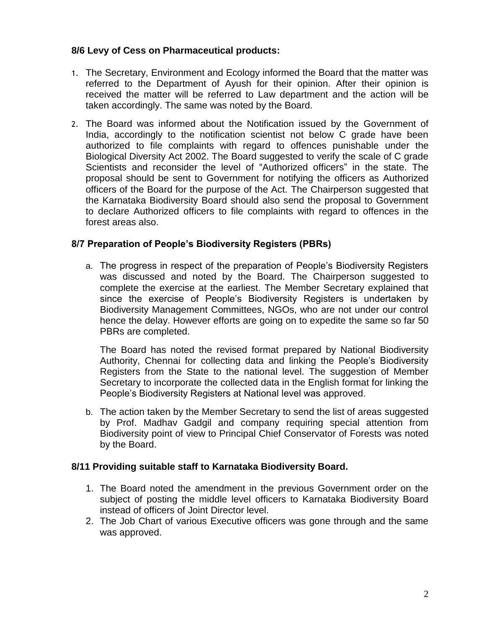## **8/6 Levy of Cess on Pharmaceutical products:**

- 1. The Secretary, Environment and Ecology informed the Board that the matter was referred to the Department of Ayush for their opinion. After their opinion is received the matter will be referred to Law department and the action will be taken accordingly. The same was noted by the Board.
- 2. The Board was informed about the Notification issued by the Government of India, accordingly to the notification scientist not below C grade have been authorized to file complaints with regard to offences punishable under the Biological Diversity Act 2002. The Board suggested to verify the scale of C grade Scientists and reconsider the level of "Authorized officers" in the state. The proposal should be sent to Government for notifying the officers as Authorized officers of the Board for the purpose of the Act. The Chairperson suggested that the Karnataka Biodiversity Board should also send the proposal to Government to declare Authorized officers to file complaints with regard to offences in the forest areas also.

## **8/7 Preparation of People's Biodiversity Registers (PBRs)**

a. The progress in respect of the preparation of People's Biodiversity Registers was discussed and noted by the Board. The Chairperson suggested to complete the exercise at the earliest. The Member Secretary explained that since the exercise of People's Biodiversity Registers is undertaken by Biodiversity Management Committees, NGOs, who are not under our control hence the delay. However efforts are going on to expedite the same so far 50 PBRs are completed.

The Board has noted the revised format prepared by National Biodiversity Authority, Chennai for collecting data and linking the People's Biodiversity Registers from the State to the national level. The suggestion of Member Secretary to incorporate the collected data in the English format for linking the People's Biodiversity Registers at National level was approved.

b. The action taken by the Member Secretary to send the list of areas suggested by Prof. Madhav Gadgil and company requiring special attention from Biodiversity point of view to Principal Chief Conservator of Forests was noted by the Board.

## **8/11 Providing suitable staff to Karnataka Biodiversity Board.**

- 1. The Board noted the amendment in the previous Government order on the subject of posting the middle level officers to Karnataka Biodiversity Board instead of officers of Joint Director level.
- 2. The Job Chart of various Executive officers was gone through and the same was approved.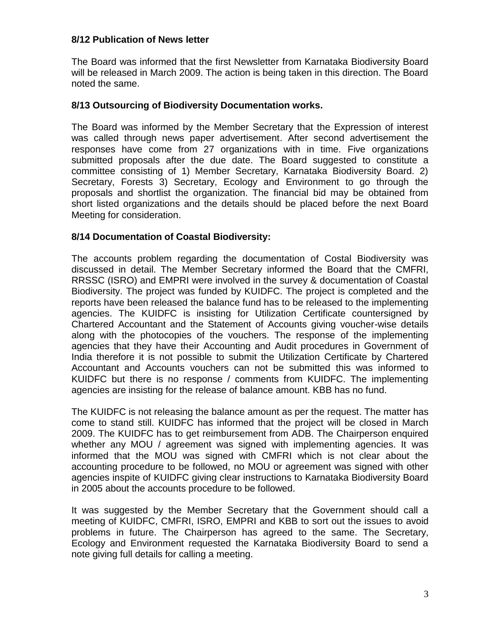## **8/12 Publication of News letter**

The Board was informed that the first Newsletter from Karnataka Biodiversity Board will be released in March 2009. The action is being taken in this direction. The Board noted the same.

#### **8/13 Outsourcing of Biodiversity Documentation works.**

The Board was informed by the Member Secretary that the Expression of interest was called through news paper advertisement. After second advertisement the responses have come from 27 organizations with in time. Five organizations submitted proposals after the due date. The Board suggested to constitute a committee consisting of 1) Member Secretary, Karnataka Biodiversity Board. 2) Secretary, Forests 3) Secretary, Ecology and Environment to go through the proposals and shortlist the organization. The financial bid may be obtained from short listed organizations and the details should be placed before the next Board Meeting for consideration.

## **8/14 Documentation of Coastal Biodiversity:**

The accounts problem regarding the documentation of Costal Biodiversity was discussed in detail. The Member Secretary informed the Board that the CMFRI, RRSSC (ISRO) and EMPRI were involved in the survey & documentation of Coastal Biodiversity. The project was funded by KUIDFC. The project is completed and the reports have been released the balance fund has to be released to the implementing agencies. The KUIDFC is insisting for Utilization Certificate countersigned by Chartered Accountant and the Statement of Accounts giving voucher-wise details along with the photocopies of the vouchers. The response of the implementing agencies that they have their Accounting and Audit procedures in Government of India therefore it is not possible to submit the Utilization Certificate by Chartered Accountant and Accounts vouchers can not be submitted this was informed to KUIDFC but there is no response / comments from KUIDFC. The implementing agencies are insisting for the release of balance amount. KBB has no fund.

The KUIDFC is not releasing the balance amount as per the request. The matter has come to stand still. KUIDFC has informed that the project will be closed in March 2009. The KUIDFC has to get reimbursement from ADB. The Chairperson enquired whether any MOU / agreement was signed with implementing agencies. It was informed that the MOU was signed with CMFRI which is not clear about the accounting procedure to be followed, no MOU or agreement was signed with other agencies inspite of KUIDFC giving clear instructions to Karnataka Biodiversity Board in 2005 about the accounts procedure to be followed.

It was suggested by the Member Secretary that the Government should call a meeting of KUIDFC, CMFRI, ISRO, EMPRI and KBB to sort out the issues to avoid problems in future. The Chairperson has agreed to the same. The Secretary, Ecology and Environment requested the Karnataka Biodiversity Board to send a note giving full details for calling a meeting.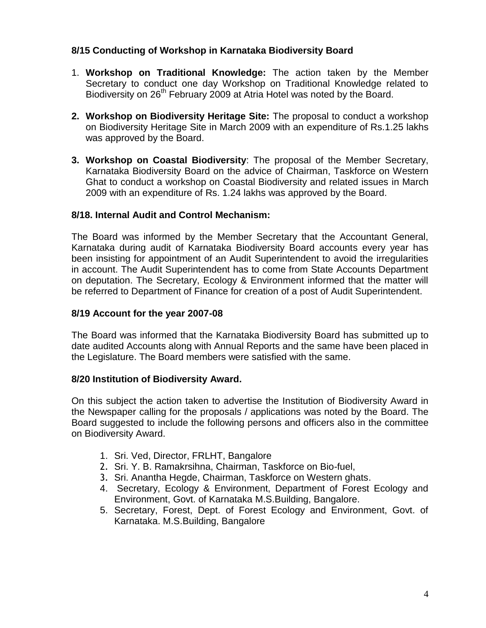## **8/15 Conducting of Workshop in Karnataka Biodiversity Board**

- 1. **Workshop on Traditional Knowledge:** The action taken by the Member Secretary to conduct one day Workshop on Traditional Knowledge related to Biodiversity on 26<sup>th</sup> February 2009 at Atria Hotel was noted by the Board.
- **2. Workshop on Biodiversity Heritage Site:** The proposal to conduct a workshop on Biodiversity Heritage Site in March 2009 with an expenditure of Rs.1.25 lakhs was approved by the Board.
- **3. Workshop on Coastal Biodiversity**: The proposal of the Member Secretary, Karnataka Biodiversity Board on the advice of Chairman, Taskforce on Western Ghat to conduct a workshop on Coastal Biodiversity and related issues in March 2009 with an expenditure of Rs. 1.24 lakhs was approved by the Board.

## **8/18. Internal Audit and Control Mechanism:**

The Board was informed by the Member Secretary that the Accountant General, Karnataka during audit of Karnataka Biodiversity Board accounts every year has been insisting for appointment of an Audit Superintendent to avoid the irregularities in account. The Audit Superintendent has to come from State Accounts Department on deputation. The Secretary, Ecology & Environment informed that the matter will be referred to Department of Finance for creation of a post of Audit Superintendent.

## **8/19 Account for the year 2007-08**

The Board was informed that the Karnataka Biodiversity Board has submitted up to date audited Accounts along with Annual Reports and the same have been placed in the Legislature. The Board members were satisfied with the same.

## **8/20 Institution of Biodiversity Award.**

On this subject the action taken to advertise the Institution of Biodiversity Award in the Newspaper calling for the proposals / applications was noted by the Board. The Board suggested to include the following persons and officers also in the committee on Biodiversity Award.

- 1. Sri. Ved, Director, FRLHT, Bangalore
- 2. Sri. Y. B. Ramakrsihna, Chairman, Taskforce on Bio-fuel,
- 3. Sri. Anantha Hegde, Chairman, Taskforce on Western ghats.
- 4. Secretary, Ecology & Environment, Department of Forest Ecology and Environment, Govt. of Karnataka M.S.Building, Bangalore.
- 5. Secretary, Forest, Dept. of Forest Ecology and Environment, Govt. of Karnataka. M.S.Building, Bangalore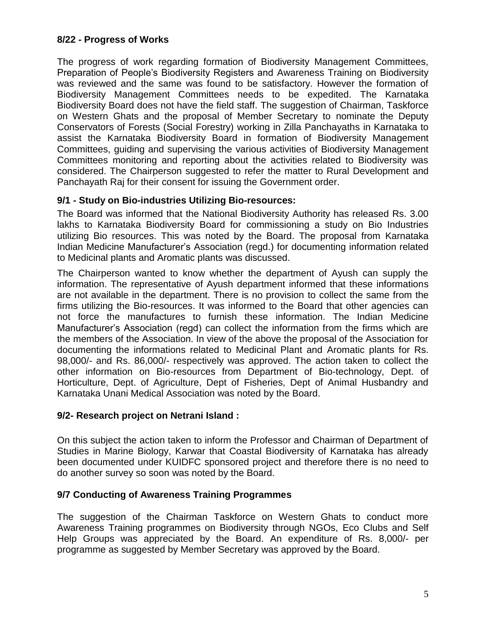## **8/22 - Progress of Works**

The progress of work regarding formation of Biodiversity Management Committees, Preparation of People's Biodiversity Registers and Awareness Training on Biodiversity was reviewed and the same was found to be satisfactory. However the formation of Biodiversity Management Committees needs to be expedited. The Karnataka Biodiversity Board does not have the field staff. The suggestion of Chairman, Taskforce on Western Ghats and the proposal of Member Secretary to nominate the Deputy Conservators of Forests (Social Forestry) working in Zilla Panchayaths in Karnataka to assist the Karnataka Biodiversity Board in formation of Biodiversity Management Committees, guiding and supervising the various activities of Biodiversity Management Committees monitoring and reporting about the activities related to Biodiversity was considered. The Chairperson suggested to refer the matter to Rural Development and Panchayath Raj for their consent for issuing the Government order.

## **9/1 - Study on Bio-industries Utilizing Bio-resources:**

The Board was informed that the National Biodiversity Authority has released Rs. 3.00 lakhs to Karnataka Biodiversity Board for commissioning a study on Bio Industries utilizing Bio resources. This was noted by the Board. The proposal from Karnataka Indian Medicine Manufacturer's Association (regd.) for documenting information related to Medicinal plants and Aromatic plants was discussed.

The Chairperson wanted to know whether the department of Ayush can supply the information. The representative of Ayush department informed that these informations are not available in the department. There is no provision to collect the same from the firms utilizing the Bio-resources. It was informed to the Board that other agencies can not force the manufactures to furnish these information. The Indian Medicine Manufacturer's Association (regd) can collect the information from the firms which are the members of the Association. In view of the above the proposal of the Association for documenting the informations related to Medicinal Plant and Aromatic plants for Rs. 98,000/- and Rs. 86,000/- respectively was approved. The action taken to collect the other information on Bio-resources from Department of Bio-technology, Dept. of Horticulture, Dept. of Agriculture, Dept of Fisheries, Dept of Animal Husbandry and Karnataka Unani Medical Association was noted by the Board.

## **9/2- Research project on Netrani Island :**

On this subject the action taken to inform the Professor and Chairman of Department of Studies in Marine Biology, Karwar that Coastal Biodiversity of Karnataka has already been documented under KUIDFC sponsored project and therefore there is no need to do another survey so soon was noted by the Board.

## **9/7 Conducting of Awareness Training Programmes**

The suggestion of the Chairman Taskforce on Western Ghats to conduct more Awareness Training programmes on Biodiversity through NGOs, Eco Clubs and Self Help Groups was appreciated by the Board. An expenditure of Rs. 8,000/- per programme as suggested by Member Secretary was approved by the Board.